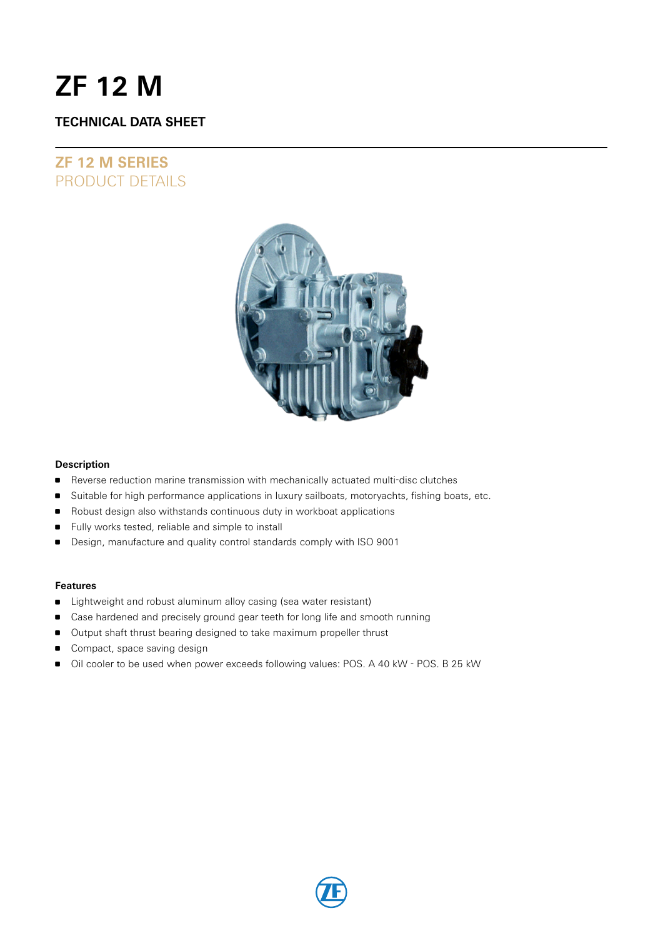# **ZF 12 M**

### **TECHNICAL DATA SHEET**

## **ZF 12 M SERIES** PRODUCT DETAILS



### **Description**

- Reverse reduction marine transmission with mechanically actuated multi-disc clutches
- **Suitable for high performance applications in luxury sailboats, motoryachts, fishing boats, etc.**
- Robust design also withstands continuous duty in workboat applications
- **Fully works tested, reliable and simple to install**
- **Design, manufacture and quality control standards comply with ISO 9001**

### **Features**

- **D** Lightweight and robust aluminum alloy casing (sea water resistant)
- Case hardened and precisely ground gear teeth for long life and smooth running
- **Output shaft thrust bearing designed to take maximum propeller thrust**
- Compact, space saving design
- Oil cooler to be used when power exceeds following values: POS. A 40 kW POS. B 25 kW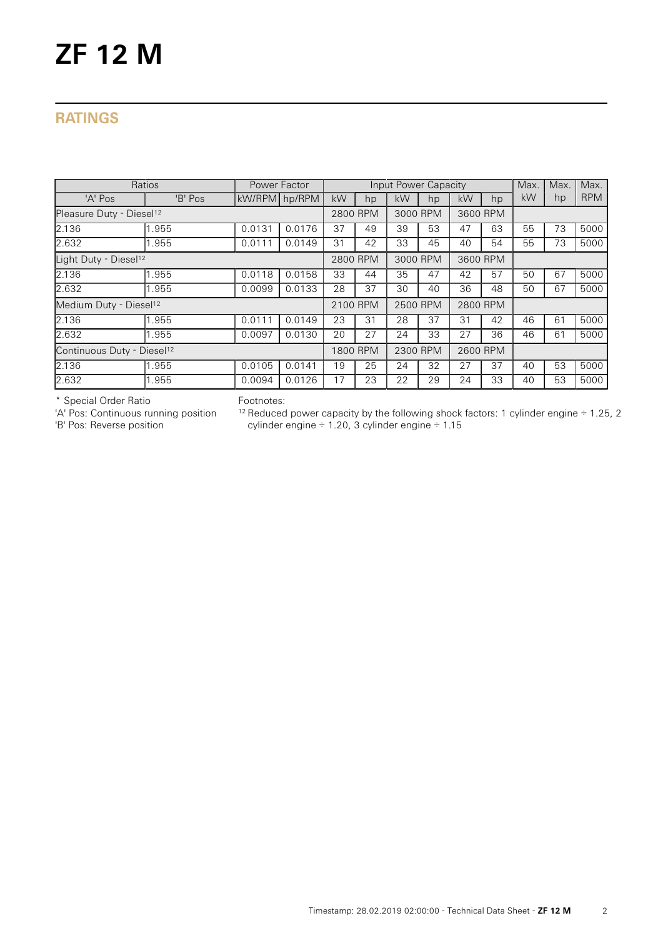## **RATINGS**

| Ratios                                 | Power Factor |               |        |          |          | Input Power Capacity |          |          | Max.     | Max. | Max. |            |
|----------------------------------------|--------------|---------------|--------|----------|----------|----------------------|----------|----------|----------|------|------|------------|
| 'A' Pos                                | 'B' Pos      | kW/RPM hp/RPM |        | kW       | hp       | kW                   | hp       | kW       | hp       | kW   | hp   | <b>RPM</b> |
| Pleasure Duty - Diesel <sup>12</sup>   |              |               |        | 2800 RPM |          | 3000 RPM             |          | 3600 RPM |          |      |      |            |
| 2.136                                  | .955         | 0.0131        | 0.0176 | 37       | 49       | 39                   | 53       | 47       | 63       | 55   | 73   | 5000       |
| 2.632                                  | .955         | 0.0111        | 0.0149 | 31       | 42       | 33                   | 45       | 40       | 54       | 55   | 73   | 5000       |
| Light Duty - Diesel <sup>12</sup>      |              |               |        |          | 2800 RPM |                      | 3000 RPM |          | 3600 RPM |      |      |            |
| 2.136                                  | .955         | 0.0118        | 0.0158 | 33       | 44       | 35                   | 47       | 42       | 57       | 50   | 67   | 5000       |
| 2.632                                  | .955         | 0.0099        | 0.0133 | 28       | 37       | 30                   | 40       | 36       | 48       | 50   | 67   | 5000       |
| Medium Duty - Diesel <sup>12</sup>     |              |               |        | 2100 RPM |          | 2500 RPM             |          | 2800 RPM |          |      |      |            |
| 2.136                                  | .955         | 0.0111        | 0.0149 | 23       | 31       | 28                   | 37       | 31       | 42       | 46   | 61   | 5000       |
| 2.632                                  | .955         | 0.0097        | 0.0130 | 20       | 27       | 24                   | 33       | 27       | 36       | 46   | 61   | 5000       |
| Continuous Duty - Diesel <sup>12</sup> |              |               |        | 1800 RPM |          | 2300 RPM             |          | 2600 RPM |          |      |      |            |
| 2.136                                  | .955         | 0.0105        | 0.0141 | 19       | 25       | 24                   | 32       | 27       | 37       | 40   | 53   | 5000       |
| 2.632                                  | .955         | 0.0094        | 0.0126 | 17       | 23       | 22                   | 29       | 24       | 33       | 40   | 53   | 5000       |

\* Special Order Ratio

'A' Pos: Continuous running position

'B' Pos: Reverse position

Footnotes:

 $12$  Reduced power capacity by the following shock factors: 1 cylinder engine  $\div$  1.25, 2 cylinder engine ÷ 1.20, 3 cylinder engine ÷ 1.15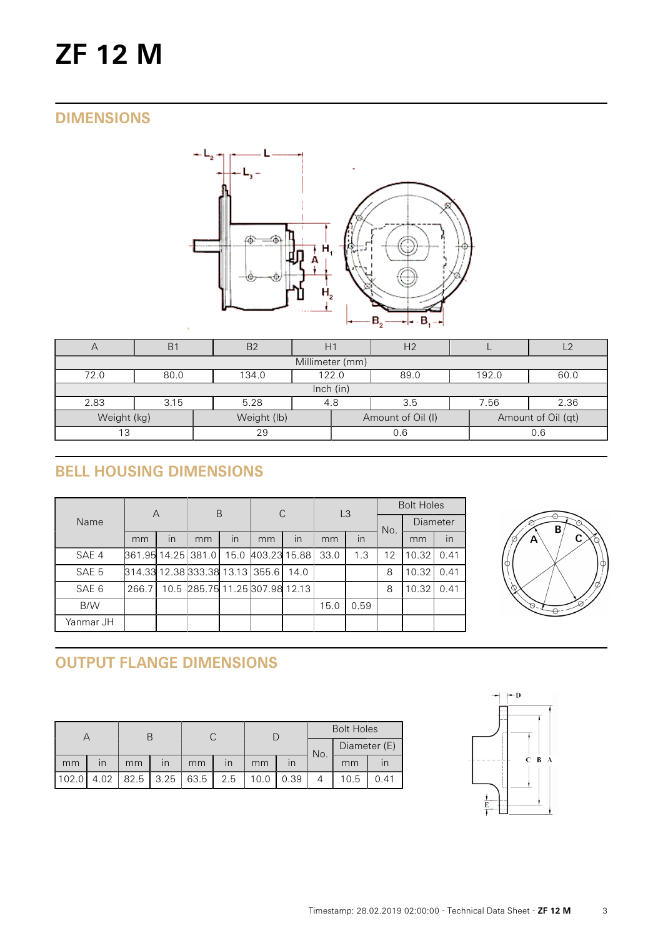# **ZF 12 M**

# **DIMENSIONS**



| $\sqrt{}$                                                             | B <sub>1</sub> | B <sub>2</sub>                          |  | H <sub>2</sub> |     |  |     |  |  |  |
|-----------------------------------------------------------------------|----------------|-----------------------------------------|--|----------------|-----|--|-----|--|--|--|
| Millimeter (mm)                                                       |                |                                         |  |                |     |  |     |  |  |  |
| 72.0                                                                  | 80.0           | 134.0<br>122.0<br>89.0<br>192.0<br>60.0 |  |                |     |  |     |  |  |  |
|                                                                       | lnch (in)      |                                         |  |                |     |  |     |  |  |  |
| 2.83                                                                  | 3.15           | 2.36<br>5.28<br>7.56<br>3.5<br>4.8      |  |                |     |  |     |  |  |  |
| Weight (kg)<br>Weight (lb)<br>Amount of Oil (qt)<br>Amount of Oil (I) |                |                                         |  |                |     |  |     |  |  |  |
| 13                                                                    |                | 29                                      |  |                | 0.6 |  | 0.6 |  |  |  |

# **BELL HOUSING DIMENSIONS**

| Name             | A                               |    | B                              |      | C            |      | L <sub>3</sub> |      | <b>Bolt Holes</b> |                 |      |  |
|------------------|---------------------------------|----|--------------------------------|------|--------------|------|----------------|------|-------------------|-----------------|------|--|
|                  |                                 |    |                                |      |              |      |                |      | No.               | <b>Diameter</b> |      |  |
|                  | mm                              | in | mm                             | in   | mm           | in   | mm             | in   |                   | mm              | in   |  |
| SAE 4            | 861.95 14.25 381.0              |    |                                | 15.0 | 403.23 15.88 |      | 33.0           | 1.3  | 12                | 10.32           | 0.41 |  |
| SAE 5            | 814.33 12.38 333.38 13.13 355.6 |    |                                |      |              | 14.0 |                |      | 8                 | 10.32           | 0.41 |  |
| SAE <sub>6</sub> | 266.7                           |    | 10.5 285.75 11.25 307.98 12.13 |      |              |      |                |      | 8                 | 10.32           | 0.41 |  |
| B/W              |                                 |    |                                |      |              |      | 15.0           | 0.59 |                   |                 |      |  |
| Yanmar JH        |                                 |    |                                |      |              |      |                |      |                   |                 |      |  |



# **OUTPUT FLANGE DIMENSIONS**

|       |      |    |                         |    |                         |      |      | <b>Bolt Holes</b> |              |      |  |
|-------|------|----|-------------------------|----|-------------------------|------|------|-------------------|--------------|------|--|
|       |      |    |                         |    |                         |      |      | No.               | Diameter (E) |      |  |
| mm    | ın   | mm | $\overline{\mathsf{I}}$ | mm | $\overline{\mathsf{I}}$ | mm   |      |                   | mm           |      |  |
| 102.0 | 4.02 |    | $82.5$   3.25   63.5    |    | 2.5                     | 10.0 | 0.39 |                   | 10.5         | 0.41 |  |